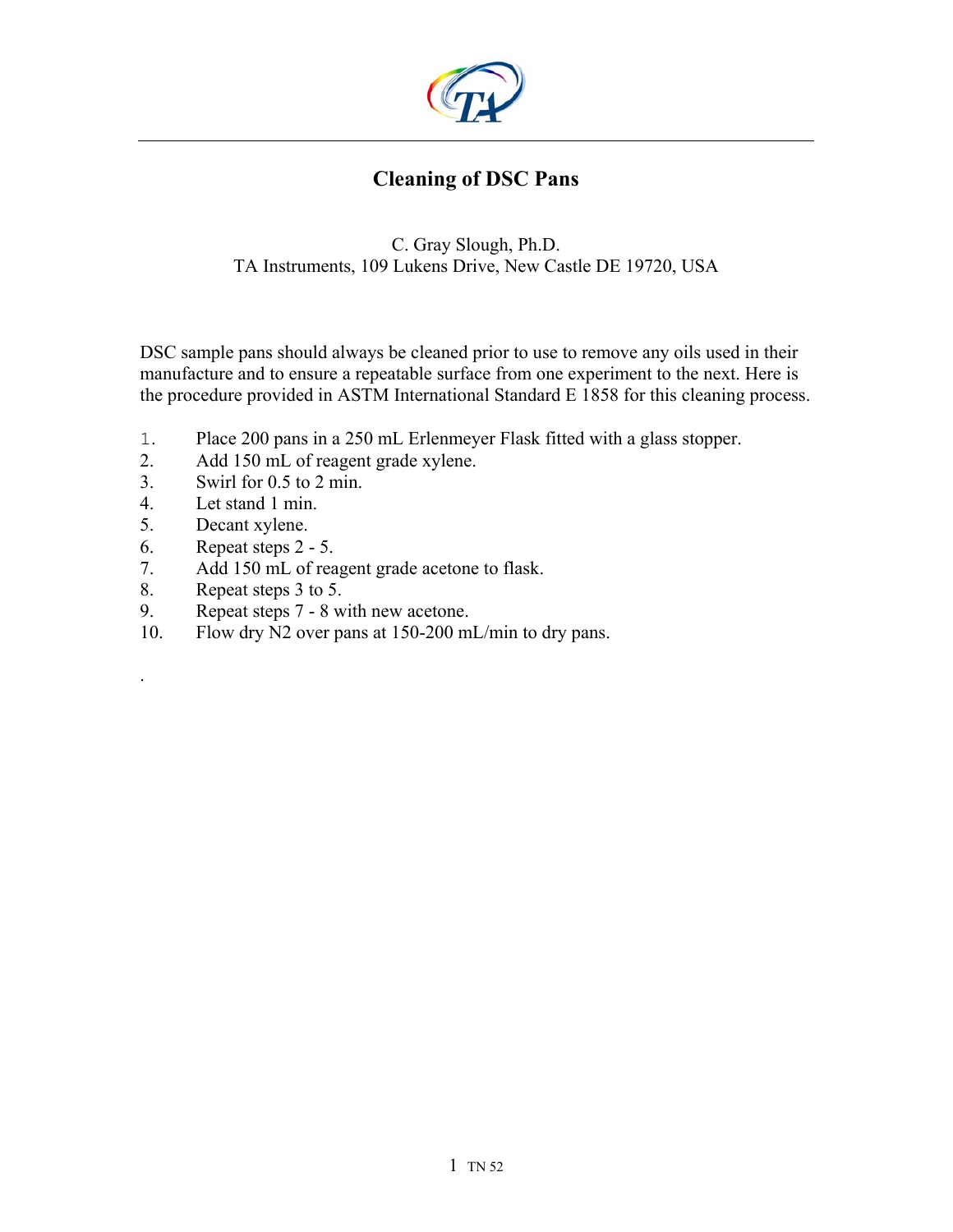

## **Cleaning of DSC Pans**

C. Gray Slough, Ph.D. TA Instruments, 109 Lukens Drive, New Castle DE 19720, USA

DSC sample pans should always be cleaned prior to use to remove any oils used in their manufacture and to ensure a repeatable surface from one experiment to the next. Here is the procedure provided in ASTM International Standard E 1858 for this cleaning process.

- 1. Place 200 pans in a 250 mL Erlenmeyer Flask fitted with a glass stopper.
- 2. Add 150 mL of reagent grade xylene.
- 3. Swirl for 0.5 to 2 min.
- 4. Let stand 1 min.
- 5. Decant xylene.

.

- 6. Repeat steps 2 5.
- 7. Add 150 mL of reagent grade acetone to flask.
- 8. Repeat steps 3 to 5.
- 9. Repeat steps 7 8 with new acetone.
- 10. Flow dry N2 over pans at 150-200 mL/min to dry pans.